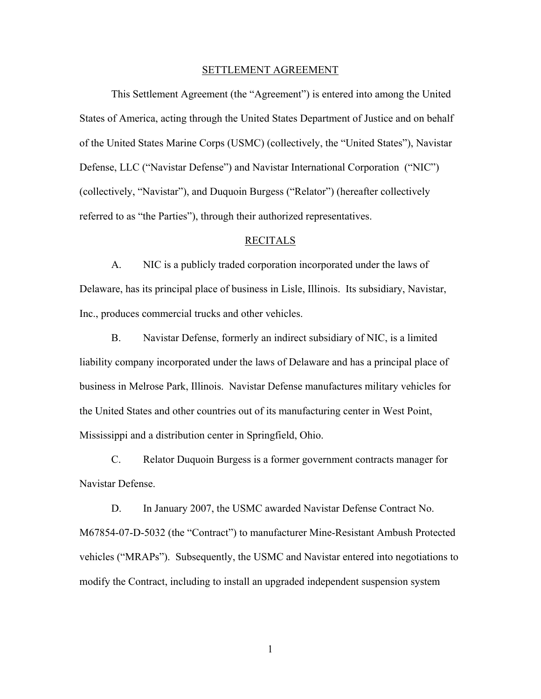## SETTLEMENT AGREEMENT

 This Settlement Agreement (the "Agreement") is entered into among the United States of America, acting through the United States Department of Justice and on behalf of the United States Marine Corps (USMC) (collectively, the "United States"), Navistar Defense, LLC ("Navistar Defense") and Navistar International Corporation ("NIC") (collectively, "Navistar"), and Duquoin Burgess ("Relator") (hereafter collectively referred to as "the Parties"), through their authorized representatives.

## RECITALS

A. NIC is a publicly traded corporation incorporated under the laws of Delaware, has its principal place of business in Lisle, Illinois. Its subsidiary, Navistar, Inc., produces commercial trucks and other vehicles.

B. Navistar Defense, formerly an indirect subsidiary of NIC, is a limited liability company incorporated under the laws of Delaware and has a principal place of business in Melrose Park, Illinois. Navistar Defense manufactures military vehicles for the United States and other countries out of its manufacturing center in West Point, Mississippi and a distribution center in Springfield, Ohio.

C. Relator Duquoin Burgess is a former government contracts manager for Navistar Defense.

D. In January 2007, the USMC awarded Navistar Defense Contract No. M67854-07-D-5032 (the "Contract") to manufacturer Mine-Resistant Ambush Protected vehicles ("MRAPs"). Subsequently, the USMC and Navistar entered into negotiations to modify the Contract, including to install an upgraded independent suspension system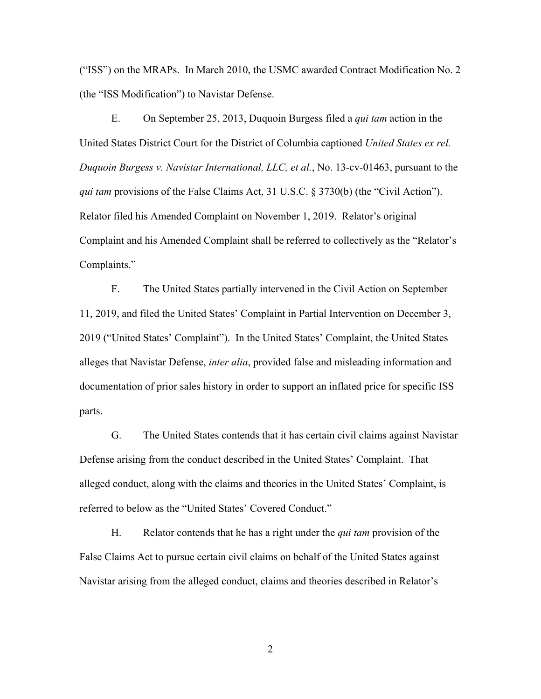("ISS") on the MRAPs. In March 2010, the USMC awarded Contract Modification No. 2 (the "ISS Modification") to Navistar Defense.

E. On September 25, 2013, Duquoin Burgess filed a *qui tam* action in the United States District Court for the District of Columbia captioned *United States ex rel. Duquoin Burgess v. Navistar International, LLC, et al.*, No. 13-cv-01463, pursuant to the *qui tam* provisions of the False Claims Act, 31 U.S.C. § 3730(b) (the "Civil Action"). Relator filed his Amended Complaint on November 1, 2019. Relator's original Complaint and his Amended Complaint shall be referred to collectively as the "Relator's Complaints."

F. The United States partially intervened in the Civil Action on September 11, 2019, and filed the United States' Complaint in Partial Intervention on December 3, 2019 ("United States' Complaint"). In the United States' Complaint, the United States alleges that Navistar Defense, *inter alia*, provided false and misleading information and documentation of prior sales history in order to support an inflated price for specific ISS parts.

G. The United States contends that it has certain civil claims against Navistar Defense arising from the conduct described in the United States' Complaint. That alleged conduct, along with the claims and theories in the United States' Complaint, is referred to below as the "United States' Covered Conduct."

H. Relator contends that he has a right under the *qui tam* provision of the False Claims Act to pursue certain civil claims on behalf of the United States against Navistar arising from the alleged conduct, claims and theories described in Relator's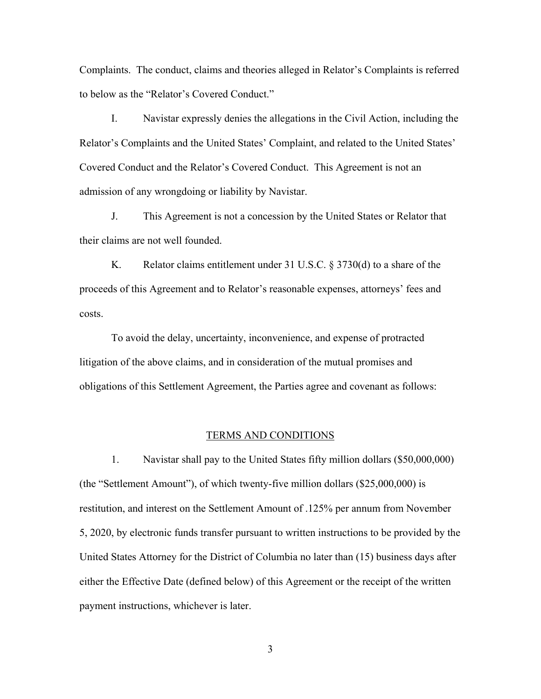Complaints. The conduct, claims and theories alleged in Relator's Complaints is referred to below as the "Relator's Covered Conduct."

I. Navistar expressly denies the allegations in the Civil Action, including the Relator's Complaints and the United States' Complaint, and related to the United States' Covered Conduct and the Relator's Covered Conduct. This Agreement is not an admission of any wrongdoing or liability by Navistar.

J. This Agreement is not a concession by the United States or Relator that their claims are not well founded.

K. Relator claims entitlement under 31 U.S.C. § 3730(d) to a share of the proceeds of this Agreement and to Relator's reasonable expenses, attorneys' fees and costs.

To avoid the delay, uncertainty, inconvenience, and expense of protracted litigation of the above claims, and in consideration of the mutual promises and obligations of this Settlement Agreement, the Parties agree and covenant as follows:

## TERMS AND CONDITIONS

 1. Navistar shall pay to the United States fifty million dollars (\$50,000,000) (the "Settlement Amount"), of which twenty-five million dollars (\$25,000,000) is restitution, and interest on the Settlement Amount of .125% per annum from November 5, 2020, by electronic funds transfer pursuant to written instructions to be provided by the United States Attorney for the District of Columbia no later than (15) business days after either the Effective Date (defined below) of this Agreement or the receipt of the written payment instructions, whichever is later.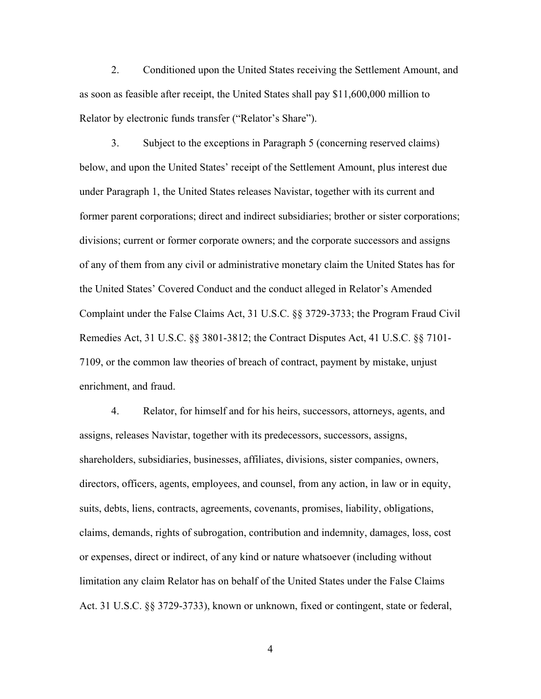2. Conditioned upon the United States receiving the Settlement Amount, and as soon as feasible after receipt, the United States shall pay \$11,600,000 million to Relator by electronic funds transfer ("Relator's Share").

 3. Subject to the exceptions in Paragraph 5 (concerning reserved claims) below, and upon the United States' receipt of the Settlement Amount, plus interest due under Paragraph 1, the United States releases Navistar, together with its current and former parent corporations; direct and indirect subsidiaries; brother or sister corporations; divisions; current or former corporate owners; and the corporate successors and assigns of any of them from any civil or administrative monetary claim the United States has for the United States' Covered Conduct and the conduct alleged in Relator's Amended Complaint under the False Claims Act, 31 U.S.C. §§ 3729-3733; the Program Fraud Civil Remedies Act, 31 U.S.C. §§ 3801-3812; the Contract Disputes Act, 41 U.S.C. §§ 7101- 7109, or the common law theories of breach of contract, payment by mistake, unjust enrichment, and fraud.

 4. Relator, for himself and for his heirs, successors, attorneys, agents, and assigns, releases Navistar, together with its predecessors, successors, assigns, shareholders, subsidiaries, businesses, affiliates, divisions, sister companies, owners, directors, officers, agents, employees, and counsel, from any action, in law or in equity, suits, debts, liens, contracts, agreements, covenants, promises, liability, obligations, claims, demands, rights of subrogation, contribution and indemnity, damages, loss, cost or expenses, direct or indirect, of any kind or nature whatsoever (including without limitation any claim Relator has on behalf of the United States under the False Claims Act. 31 U.S.C. §§ 3729-3733), known or unknown, fixed or contingent, state or federal,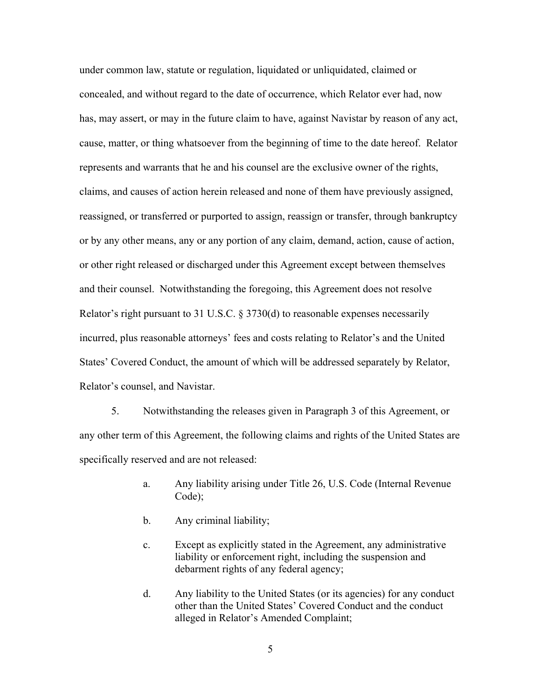under common law, statute or regulation, liquidated or unliquidated, claimed or concealed, and without regard to the date of occurrence, which Relator ever had, now has, may assert, or may in the future claim to have, against Navistar by reason of any act, cause, matter, or thing whatsoever from the beginning of time to the date hereof. Relator represents and warrants that he and his counsel are the exclusive owner of the rights, claims, and causes of action herein released and none of them have previously assigned, reassigned, or transferred or purported to assign, reassign or transfer, through bankruptcy or by any other means, any or any portion of any claim, demand, action, cause of action, or other right released or discharged under this Agreement except between themselves and their counsel. Notwithstanding the foregoing, this Agreement does not resolve Relator's right pursuant to 31 U.S.C. § 3730(d) to reasonable expenses necessarily incurred, plus reasonable attorneys' fees and costs relating to Relator's and the United States' Covered Conduct, the amount of which will be addressed separately by Relator, Relator's counsel, and Navistar.

 5. Notwithstanding the releases given in Paragraph 3 of this Agreement, or any other term of this Agreement, the following claims and rights of the United States are specifically reserved and are not released:

- a. Any liability arising under Title 26, U.S. Code (Internal Revenue Code);
- b. Any criminal liability;
- c. Except as explicitly stated in the Agreement, any administrative liability or enforcement right, including the suspension and debarment rights of any federal agency;
- d. Any liability to the United States (or its agencies) for any conduct other than the United States' Covered Conduct and the conduct alleged in Relator's Amended Complaint;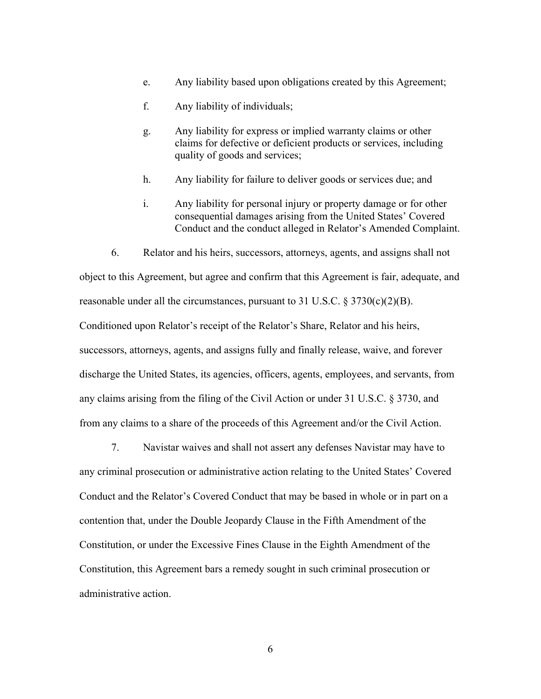- e. Any liability based upon obligations created by this Agreement;
- f. Any liability of individuals;
- g. Any liability for express or implied warranty claims or other claims for defective or deficient products or services, including quality of goods and services;
- h. Any liability for failure to deliver goods or services due; and
- i. Any liability for personal injury or property damage or for other consequential damages arising from the United States' Covered Conduct and the conduct alleged in Relator's Amended Complaint.

 6. Relator and his heirs, successors, attorneys, agents, and assigns shall not object to this Agreement, but agree and confirm that this Agreement is fair, adequate, and reasonable under all the circumstances, pursuant to 31 U.S.C.  $\S 3730(c)(2)(B)$ . Conditioned upon Relator's receipt of the Relator's Share, Relator and his heirs, successors, attorneys, agents, and assigns fully and finally release, waive, and forever discharge the United States, its agencies, officers, agents, employees, and servants, from any claims arising from the filing of the Civil Action or under 31 U.S.C. § 3730, and from any claims to a share of the proceeds of this Agreement and/or the Civil Action.

 7. Navistar waives and shall not assert any defenses Navistar may have to any criminal prosecution or administrative action relating to the United States' Covered Conduct and the Relator's Covered Conduct that may be based in whole or in part on a contention that, under the Double Jeopardy Clause in the Fifth Amendment of the Constitution, or under the Excessive Fines Clause in the Eighth Amendment of the Constitution, this Agreement bars a remedy sought in such criminal prosecution or administrative action.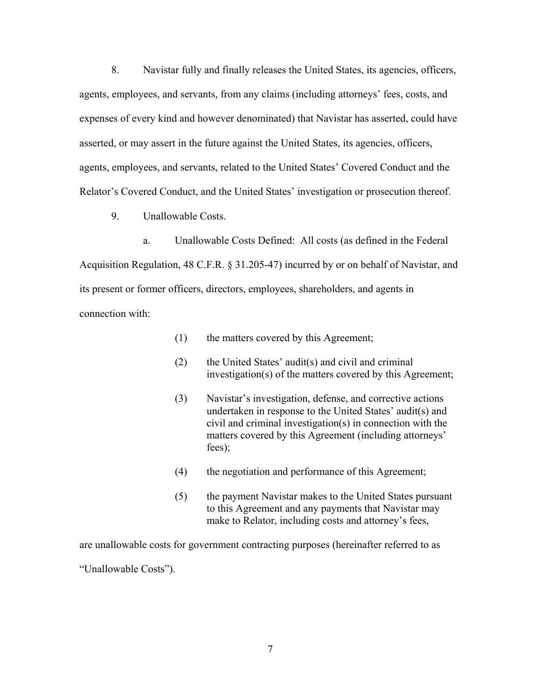8. Navistar fully and finally releases the United States, its agencies, officers, agents, employees, and servants, from any claims (including attorneys' fees, costs, and expenses of every kind and however denominated) that Navistar has asserted, could have asserted, or may assert in the future against the United States, its agencies, officers, agents, employees, and servants, related to the United States' Covered Conduct and the Relator's Covered Conduct, and the United States' investigation or prosecution thereof.

9. Unallowable Costs.

a. Unallowable Costs Defined: All costs (as defined in the Federal Acquisition Regulation, 48 C.F.R. § 31.205-47) incurred by or on behalf of Navistar, and its present or former officers, directors, employees, shareholders, and agents in connection with:

- (1) the matters covered by this Agreement;
- (2) the United States' audit(s) and civil and criminal investigation(s) of the matters covered by this Agreement;
- (3) Navistar's investigation, defense, and corrective actions undertaken in response to the United States' audit(s) and civil and criminal investigation(s) in connection with the matters covered by this Agreement (including attorneys' fees);
- (4) the negotiation and performance of this Agreement;
- (5) the payment Navistar makes to the United States pursuant to this Agreement and any payments that Navistar may make to Relator, including costs and attorney's fees,

are unallowable costs for government contracting purposes (hereinafter referred to as "Unallowable Costs").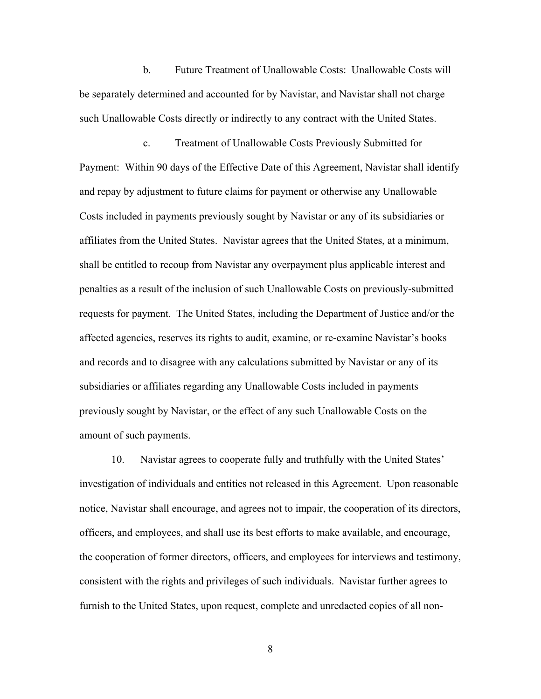b. Future Treatment of Unallowable Costs: Unallowable Costs will be separately determined and accounted for by Navistar, and Navistar shall not charge such Unallowable Costs directly or indirectly to any contract with the United States.

 c. Treatment of Unallowable Costs Previously Submitted for Payment: Within 90 days of the Effective Date of this Agreement, Navistar shall identify and repay by adjustment to future claims for payment or otherwise any Unallowable Costs included in payments previously sought by Navistar or any of its subsidiaries or affiliates from the United States. Navistar agrees that the United States, at a minimum, shall be entitled to recoup from Navistar any overpayment plus applicable interest and penalties as a result of the inclusion of such Unallowable Costs on previously-submitted requests for payment. The United States, including the Department of Justice and/or the affected agencies, reserves its rights to audit, examine, or re-examine Navistar's books and records and to disagree with any calculations submitted by Navistar or any of its subsidiaries or affiliates regarding any Unallowable Costs included in payments previously sought by Navistar, or the effect of any such Unallowable Costs on the amount of such payments.

 10. Navistar agrees to cooperate fully and truthfully with the United States' investigation of individuals and entities not released in this Agreement. Upon reasonable notice, Navistar shall encourage, and agrees not to impair, the cooperation of its directors, officers, and employees, and shall use its best efforts to make available, and encourage, the cooperation of former directors, officers, and employees for interviews and testimony, consistent with the rights and privileges of such individuals. Navistar further agrees to furnish to the United States, upon request, complete and unredacted copies of all non-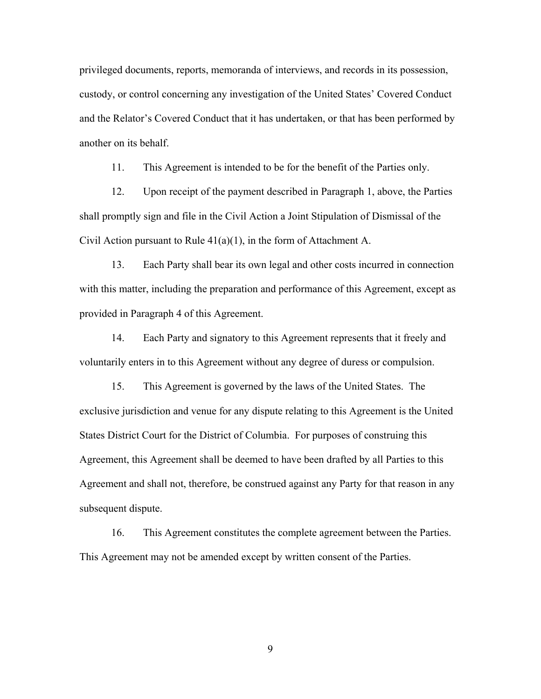privileged documents, reports, memoranda of interviews, and records in its possession, custody, or control concerning any investigation of the United States' Covered Conduct and the Relator's Covered Conduct that it has undertaken, or that has been performed by another on its behalf.

11. This Agreement is intended to be for the benefit of the Parties only.

 12. Upon receipt of the payment described in Paragraph 1, above, the Parties shall promptly sign and file in the Civil Action a Joint Stipulation of Dismissal of the Civil Action pursuant to Rule 41(a)(1), in the form of Attachment A.

 13. Each Party shall bear its own legal and other costs incurred in connection with this matter, including the preparation and performance of this Agreement, except as provided in Paragraph 4 of this Agreement.

 14. Each Party and signatory to this Agreement represents that it freely and voluntarily enters in to this Agreement without any degree of duress or compulsion.

 15. This Agreement is governed by the laws of the United States. The exclusive jurisdiction and venue for any dispute relating to this Agreement is the United States District Court for the District of Columbia. For purposes of construing this Agreement, this Agreement shall be deemed to have been drafted by all Parties to this Agreement and shall not, therefore, be construed against any Party for that reason in any subsequent dispute.

 16. This Agreement constitutes the complete agreement between the Parties. This Agreement may not be amended except by written consent of the Parties.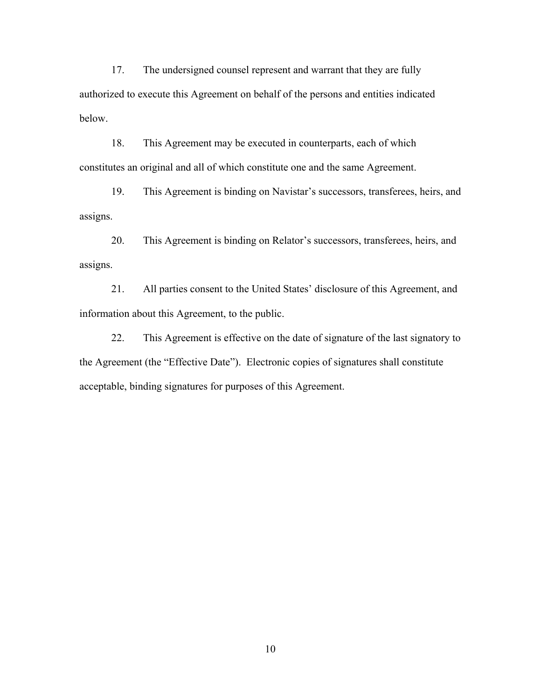17. The undersigned counsel represent and warrant that they are fully authorized to execute this Agreement on behalf of the persons and entities indicated below.

 18. This Agreement may be executed in counterparts, each of which constitutes an original and all of which constitute one and the same Agreement.

 19. This Agreement is binding on Navistar's successors, transferees, heirs, and assigns.

 20. This Agreement is binding on Relator's successors, transferees, heirs, and assigns.

 21. All parties consent to the United States' disclosure of this Agreement, and information about this Agreement, to the public.

 22. This Agreement is effective on the date of signature of the last signatory to the Agreement (the "Effective Date"). Electronic copies of signatures shall constitute acceptable, binding signatures for purposes of this Agreement.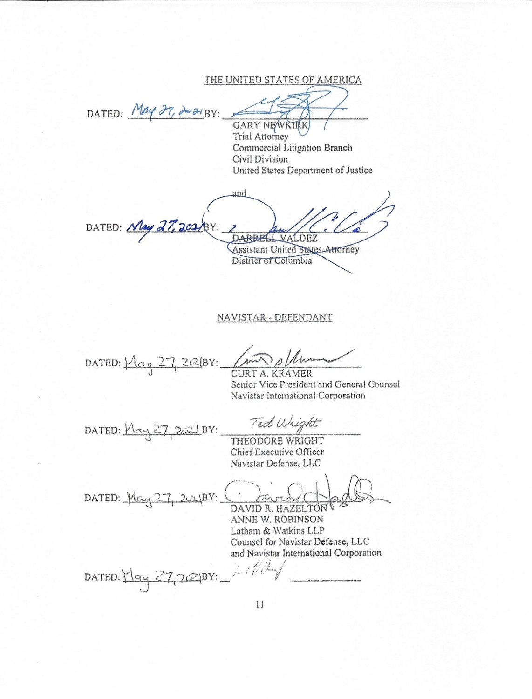THE UNITED STATES OF AMERICA

DATED: May 27, 2021BY:

**GARY NEWKIRK** Trial Attorney Commercial Litigation Branch Civil Division United States Department of Justice

and DATED: May 27, 202 DARBELL VALDEZ Assistant United States Attorney District of Columbia

## NAVISTAR - DEFENDANT

DATED:  $Max_4$  27, 202/BY:

**CURT A. KRAMER** Senior Vice President and General Counsel Navistar International Corporation

DATED:  $MaxZ7$ , 2021BY:

Ted Wright

THEODORE WRIGHT Chief Executive Officer Navistar Defense, LLC

DATED: 1/24 27, 2021BY: DAVID R. HAZELTON

ANNE W. ROBINSON Latham & Watkins LLP Counsel for Navistar Defense, LLC and Navistar International Corporation

 $1/1$ DATED: May 27, 2021BY: